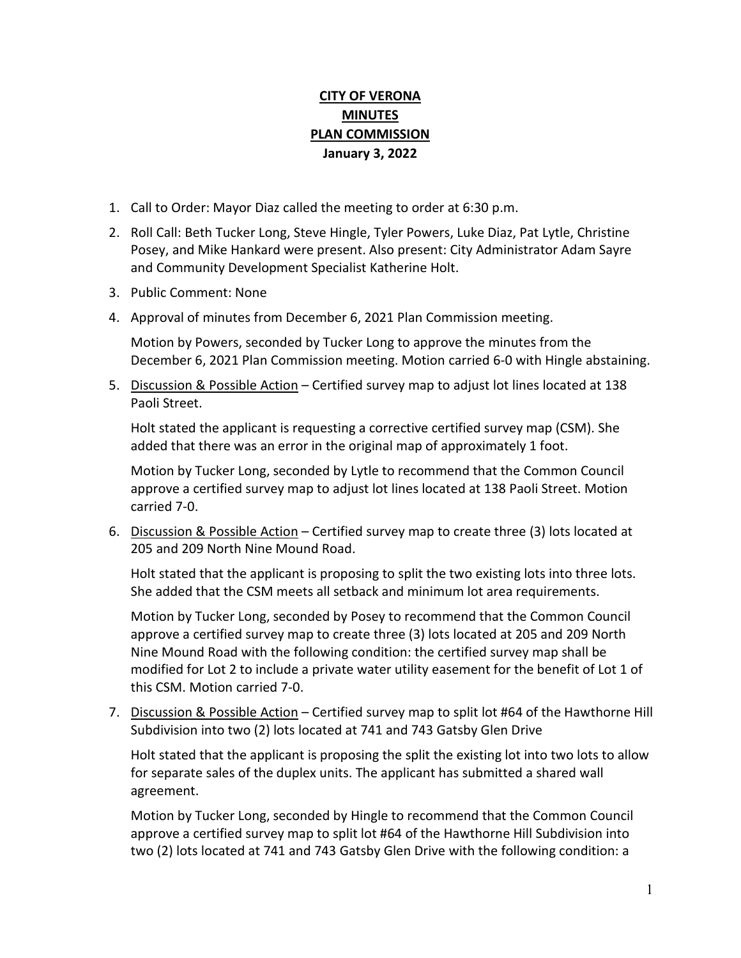# **CITY OF VERONA MINUTES PLAN COMMISSION January 3, 2022**

- 1. Call to Order: Mayor Diaz called the meeting to order at 6:30 p.m.
- 2. Roll Call: Beth Tucker Long, Steve Hingle, Tyler Powers, Luke Diaz, Pat Lytle, Christine Posey, and Mike Hankard were present. Also present: City Administrator Adam Sayre and Community Development Specialist Katherine Holt.
- 3. Public Comment: None
- 4. Approval of minutes from December 6, 2021 Plan Commission meeting.

Motion by Powers, seconded by Tucker Long to approve the minutes from the December 6, 2021 Plan Commission meeting. Motion carried 6-0 with Hingle abstaining.

5. Discussion & Possible Action - Certified survey map to adjust lot lines located at 138 Paoli Street.

Holt stated the applicant is requesting a corrective certified survey map (CSM). She added that there was an error in the original map of approximately 1 foot.

Motion by Tucker Long, seconded by Lytle to recommend that the Common Council approve a certified survey map to adjust lot lines located at 138 Paoli Street. Motion carried 7-0.

6. Discussion & Possible Action – Certified survey map to create three (3) lots located at 205 and 209 North Nine Mound Road.

Holt stated that the applicant is proposing to split the two existing lots into three lots. She added that the CSM meets all setback and minimum lot area requirements.

Motion by Tucker Long, seconded by Posey to recommend that the Common Council approve a certified survey map to create three (3) lots located at 205 and 209 North Nine Mound Road with the following condition: the certified survey map shall be modified for Lot 2 to include a private water utility easement for the benefit of Lot 1 of this CSM. Motion carried 7-0.

7. Discussion & Possible Action – Certified survey map to split lot #64 of the Hawthorne Hill Subdivision into two (2) lots located at 741 and 743 Gatsby Glen Drive

Holt stated that the applicant is proposing the split the existing lot into two lots to allow for separate sales of the duplex units. The applicant has submitted a shared wall agreement.

Motion by Tucker Long, seconded by Hingle to recommend that the Common Council approve a certified survey map to split lot #64 of the Hawthorne Hill Subdivision into two (2) lots located at 741 and 743 Gatsby Glen Drive with the following condition: a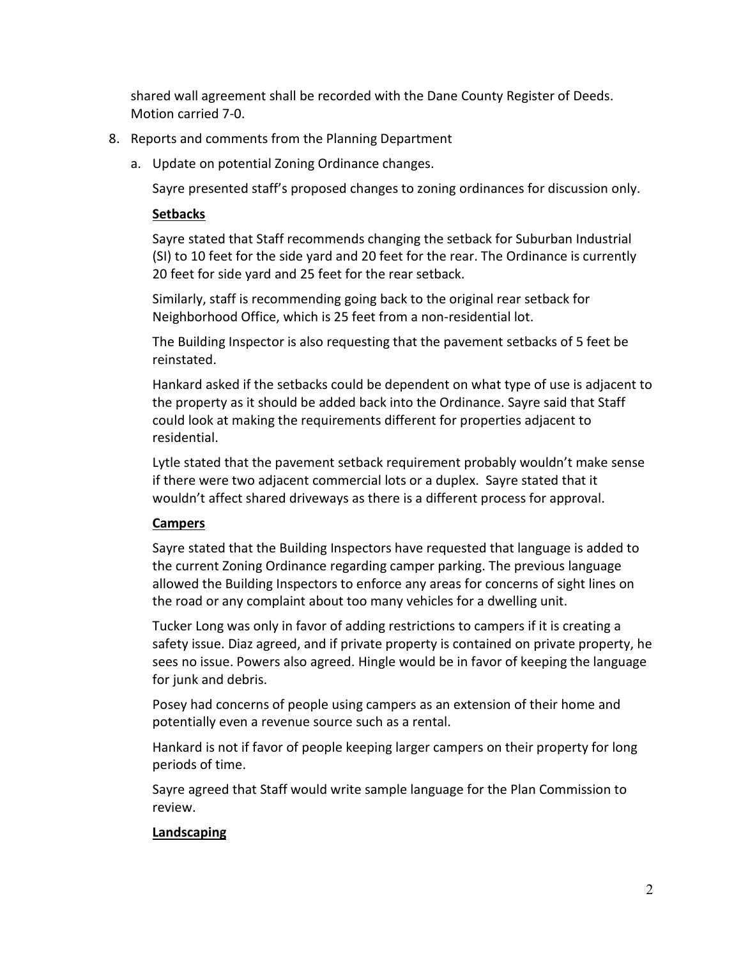shared wall agreement shall be recorded with the Dane County Register of Deeds. Motion carried 7-0.

- 8. Reports and comments from the Planning Department
	- a. Update on potential Zoning Ordinance changes.

Sayre presented staff's proposed changes to zoning ordinances for discussion only.

### **Setbacks**

Sayre stated that Staff recommends changing the setback for Suburban Industrial (SI) to 10 feet for the side yard and 20 feet for the rear. The Ordinance is currently 20 feet for side yard and 25 feet for the rear setback.

Similarly, staff is recommending going back to the original rear setback for Neighborhood Office, which is 25 feet from a non-residential lot.

The Building Inspector is also requesting that the pavement setbacks of 5 feet be reinstated.

Hankard asked if the setbacks could be dependent on what type of use is adjacent to the property as it should be added back into the Ordinance. Sayre said that Staff could look at making the requirements different for properties adjacent to residential.

Lytle stated that the pavement setback requirement probably wouldn't make sense if there were two adjacent commercial lots or a duplex. Sayre stated that it wouldn't affect shared driveways as there is a different process for approval.

## **Campers**

Sayre stated that the Building Inspectors have requested that language is added to the current Zoning Ordinance regarding camper parking. The previous language allowed the Building Inspectors to enforce any areas for concerns of sight lines on the road or any complaint about too many vehicles for a dwelling unit.

Tucker Long was only in favor of adding restrictions to campers if it is creating a safety issue. Diaz agreed, and if private property is contained on private property, he sees no issue. Powers also agreed. Hingle would be in favor of keeping the language for junk and debris.

Posey had concerns of people using campers as an extension of their home and potentially even a revenue source such as a rental.

Hankard is not if favor of people keeping larger campers on their property for long periods of time.

Sayre agreed that Staff would write sample language for the Plan Commission to review.

#### **Landscaping**